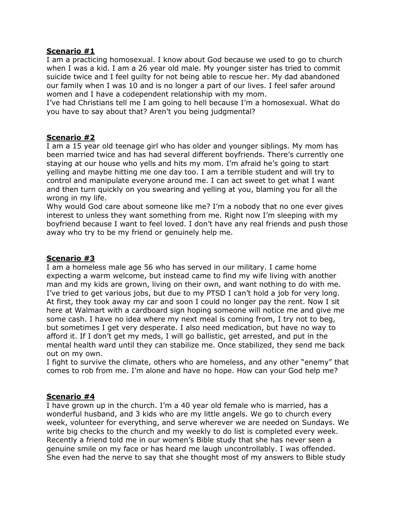## **Scenario #1**

I am a practicing homosexual. I know about God because we used to go to church when I was a kid. I am a 26 year old male. My younger sister has tried to commit suicide twice and I feel guilty for not being able to rescue her. My dad abandoned our family when I was 10 and is no longer a part of our lives. I feel safer around women and I have a codependent relationship with my mom.

I've had Christians tell me I am going to hell because I'm a homosexual. What do you have to say about that? Aren't you being judgmental?

## **Scenario #2**

I am a 15 year old teenage girl who has older and younger siblings. My mom has been married twice and has had several different boyfriends. There's currently one staying at our house who yells and hits my mom. I'm afraid he's going to start yelling and maybe hitting me one day too. I am a terrible student and will try to control and manipulate everyone around me. I can act sweet to get what I want and then turn quickly on you swearing and yelling at you, blaming you for all the wrong in my life.

Why would God care about someone like me? I'm a nobody that no one ever gives interest to unless they want something from me. Right now I'm sleeping with my boyfriend because I want to feel loved. I don't have any real friends and push those away who try to be my friend or genuinely help me.

## **Scenario #3**

I am a homeless male age 56 who has served in our military. I came home expecting a warm welcome, but instead came to find my wife living with another man and my kids are grown, living on their own, and want nothing to do with me. I've tried to get various jobs, but due to my PTSD I can't hold a job for very long. At first, they took away my car and soon I could no longer pay the rent. Now I sit here at Walmart with a cardboard sign hoping someone will notice me and give me some cash. I have no idea where my next meal is coming from, I try not to beg, but sometimes I get very desperate. I also need medication, but have no way to afford it. If I don't get my meds, I will go ballistic, get arrested, and put in the mental health ward until they can stabilize me. Once stabilized, they send me back out on my own.

I fight to survive the climate, others who are homeless, and any other "enemy" that comes to rob from me. I'm alone and have no hope. How can your God help me?

## **Scenario #4**

I have grown up in the church. I'm a 40 year old female who is married, has a wonderful husband, and 3 kids who are my little angels. We go to church every week, volunteer for everything, and serve wherever we are needed on Sundays. We write big checks to the church and my weekly to do list is completed every week. Recently a friend told me in our women's Bible study that she has never seen a genuine smile on my face or has heard me laugh uncontrollably. I was offended. She even had the nerve to say that she thought most of my answers to Bible study